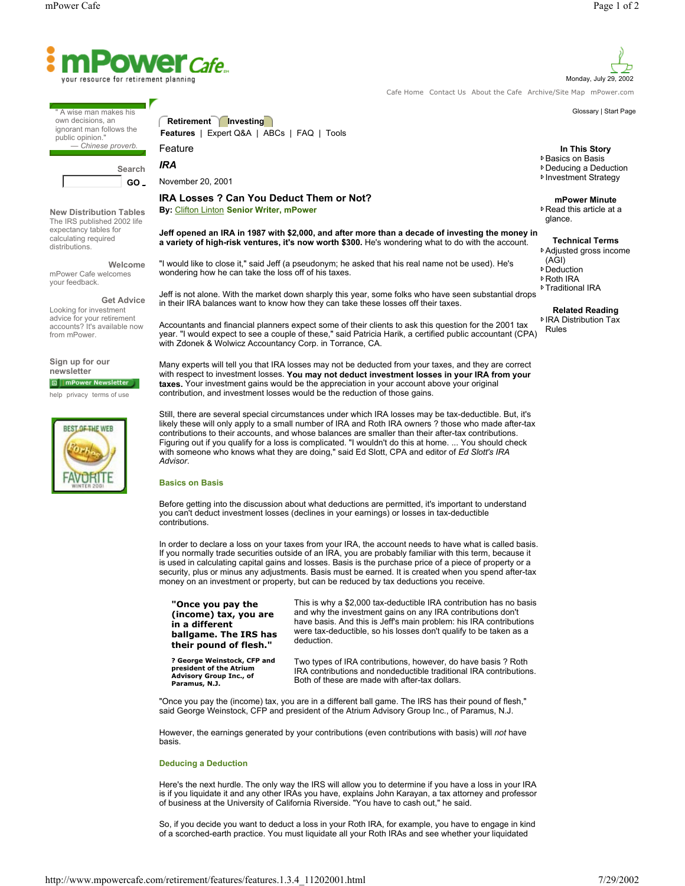

A wise man makes his own decisions, an ignorant man follows the public opinion. *— Chinese proverb.*

**Search GO** 

**New Distribution Tables** The IRS published 2002 life expectancy tables for calculating required distributions.

**Welcome** mPower Cafe welcomes your feedback.

**Get Advice** Looking for investment advice for your retirement accounts? It's available now from mPower.

**Sign up for our newsletter** mPower Newsletter

help privacy terms of use



**Retirement Investing Features** | Expert Q&A | ABCs | FAQ | Tools Feature

November 20, 2001

*IRA*

# **IRA Losses ? Can You Deduct Them or Not? By:** Clifton Linton **Senior Writer, mPower**

with Zdonek & Wolwicz Accountancy Corp. in Torrance, CA.

**Jeff opened an IRA in 1987 with \$2,000, and after more than a decade of investing the money in a variety of high-risk ventures, it's now worth \$300.** He's wondering what to do with the account.

"I would like to close it," said Jeff (a pseudonym; he asked that his real name not be used). He's wondering how he can take the loss off of his taxes.

Jeff is not alone. With the market down sharply this year, some folks who have seen substantial drops in their IRA balances want to know how they can take these losses off their taxes.

Accountants and financial planners expect some of their clients to ask this question for the 2001 tax year. "I would expect to see a couple of these," said Patricia Harik, a certified public accountant (CPA)

Many experts will tell you that IRA losses may not be deducted from your taxes, and they are correct with respect to investment losses. **You may not deduct investment losses in your IRA from your taxes.** Your investment gains would be the appreciation in your account above your original contribution, and investment losses would be the reduction of those gains.

-with someone who knows what they are doing," said Ed Slott, CPA and editor of *Ed Slott's IRA*  TRA and F<br>nces are s<br>ted. "I wou Still, there are several special circumstances under which IRA losses may be tax-deductible. But, it's likely these will only apply to a small number of IRA and Roth IRA owners ? those who made after-tax contributions to their accounts, and whose balances are smaller than their after-tax contributions. Figuring out if you qualify for a loss is complicated. "I wouldn't do this at home. ... You should check *Advisor*.

### **Basics on Basis**

Before getting into the discussion about what deductions are permitted, it's important to understand you can't deduct investment losses (declines in your earnings) or losses in tax-deductible contributions.

In order to declare a loss on your taxes from your IRA, the account needs to have what is called basis. If you normally trade securities outside of an IRA, you are probably familiar with this term, because it is used in calculating capital gains and losses. Basis is the purchase price of a piece of property or a security, plus or minus any adjustments. Basis must be earned. It is created when you spend after-tax money on an investment or property, but can be reduced by tax deductions you receive.

| "Once you pay the                                                                                  | This is why a \$2,000 tax-deductible IRA contribution has no basis                                                                                                                    |
|----------------------------------------------------------------------------------------------------|---------------------------------------------------------------------------------------------------------------------------------------------------------------------------------------|
| (income) tax, you are                                                                              | and why the investment gains on any IRA contributions don't                                                                                                                           |
| in a different                                                                                     | have basis. And this is Jeff's main problem: his IRA contributions                                                                                                                    |
| ballgame. The IRS has                                                                              | were tax-deductible, so his losses don't qualify to be taken as a                                                                                                                     |
| their pound of flesh."                                                                             | deduction.                                                                                                                                                                            |
| ? George Weinstock, CFP and<br>president of the Atrium<br>Advisory Group Inc., of<br>Paramus, N.J. | Two types of IRA contributions, however, do have basis ? Roth<br>IRA contributions and nondeductible traditional IRA contributions.<br>Both of these are made with after-tax dollars. |

"Once you pay the (income) tax, you are in a different ball game. The IRS has their pound of flesh," said George Weinstock, CFP and president of the Atrium Advisory Group Inc., of Paramus, N.J.

However, the earnings generated by your contributions (even contributions with basis) will *not* have basis.

## **Deducing a Deduction**

Here's the next hurdle. The only way the IRS will allow you to determine if you have a loss in your IRA is if you liquidate it and any other IRAs you have, explains John Karayan, a tax attorney and professor of business at the University of California Riverside. "You have to cash out," he said.

So, if you decide you want to deduct a loss in your Roth IRA, for example, you have to engage in kind of a scorched-earth practice. You must liquidate all your Roth IRAs and see whether your liquidated

**In This Story**

**▶ Basics on Basis** Deducing a Deduction

**<sup>D</sup>** Investment Strategy

### **mPower Minute**

**▶ Read this article at a** glance.

**Technical Terms** Adjusted gross income

- (AGI)
- **▶** Deduction
- Roth IRA **▶ Traditional IRA**
- 

### **Related Reading**

**▶ IRA Distribution Tax** Rules

Monday, July 29, 2002

Glossary | Start Page

Cafe Home Contact Us About the Cafe Archive/Site Map mPower.com